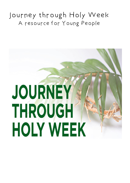## Journey through Holy Week A resource for Young People

# JOURNEY THROUGH **HOLY WEEK**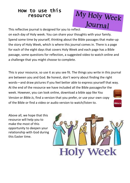### How to use this resource

## HOW LU USE LITTER MANU HOLY WEEK<br>This reflective journal is designed for you to reflect<br>This reflective journal is designed for you to reflect

on each day of Holy week. You can share your thoughts with your family. Spend some time by yourself, thinking about the Bible passages that make-up the story of Holy Week, which is where this journal comes in. There is a page for each of the eight days that covers Holy Week and each page has a Bible passage, some questions for reflection, a suggested video to watch online and a challenge that you might choose to complete.

This is your resource, so use it as you see fit. The things you write in this journal are between you and God. Be honest, don't worry about finding the right words—and draw pictures if you feel better able to express yourself that way. At the end of the resource we have included all the Bible passagesfor the HOLY<br>BIBLE week. However, you can look online, download a bible app like *You Version* or *Bible.Is*, find a version that you prefer, or use your own copy of the Bible or find a video or audio version to watch/listen to. **Bible.is** 

Above all, we hope that this resource will help you to make the most of this opportunity to deepen your relationship with God during this Easter time.

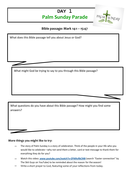DAY 1 **Palm Sunday Parade**



#### **Bible passage: Mark 14:1 – 15:47**

What does this Bible passage tell you about Jesus or God?

What might God be trying to say to you through this Bible passage?

What questions do you have about this Bible passage? How might you find some answers?

- $\Rightarrow$  The story of Palm Sunday is a story of celebration. Think of the people in your life who you would like to celebrate—why not send them a letter, card or text message to thank them for everything they do for you?
- Watch this video: **[www.youtube.com/watch?v=ZFMXvfikCM8](http://www.youtube.com/watch?v=ZFMXvfikCM8)** (search "Easter connection" by The Skit Guys on YouTube) to be reminded about the reason for the season!
- $\Rightarrow$  Write a short prayer to God, featuring some of your reflections from today.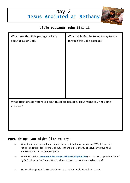## Day 2 Jesus Anointed at Bethany

#### Bible passage: John 12:1-11

| What does this Bible passage tell you<br>about Jesus or God?                 | What might God be trying to say to you<br>through this Bible passage? |
|------------------------------------------------------------------------------|-----------------------------------------------------------------------|
| What questions do you have about this Bible passage? How might you find some |                                                                       |
| answers?                                                                     |                                                                       |

- $\Rightarrow$  What things do you see happening in the world that make you angry? What issues do you care about or feel strongly about? Is there a local charity or voluntary group that you could help out with or support?
- ⇒ Watch this video: [www.youtube.com/watch?v=G\\_YDpP-nU6w](http://www.youtube.com/watch?v=G_YDpP-nU6w) (search "Rise Up Virtual Choir" by BCC online on YouTube). What makes you want to rise up and take action?
- $\Rightarrow$  Write a short prayer to God, featuring some of your reflections from today.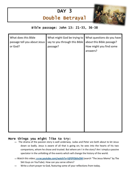

## Double Betrayal



#### Bible passage: John 13: 21-33, 36-38

| What does this Bible<br>passage tell you about Jesus<br>or God? | What might God be trying to<br>say to you through this Bible<br>passage? | What questions do you have<br>about this Bible passage?<br>How might you find some<br>answers? |
|-----------------------------------------------------------------|--------------------------------------------------------------------------|------------------------------------------------------------------------------------------------|
|                                                                 |                                                                          |                                                                                                |

- $\Rightarrow$  The drama of the passion story is well underway. Judas and Peter are both about to let Jesus down so badly. Jesus is aware of all that is going on; he sees into the hearts of his two companions, whom he chose and trusted. But where am I in the story? Am I simply a passive spectator in the unfolding of the events which will change the history of the world.
- ⇒ Watch this video: ww[w.youtube.com/watch?v=VjFEPObXvOM](http://www.youtube.com/watch?v=VjFEPObXvOM) (search "The Jesus Memo" by The Skit Guys on YouTube). How can you serve others?
- $\Rightarrow$  Write a short prayer to God, featuring some of your reflections from today.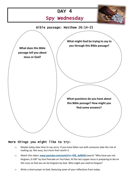

- $\Rightarrow$  Maybe today take time to say sorry. If you have fallen out with someone take the risk of making up. Not easy, but more than worth it.
- ⇒ Watch this video: [www.youtube.com/watch?v=-YER\\_3afM20](http://www.youtube.com/watch?v=-YER_3afM20) (search "Who have you not forgiven, 0-100" by Soul Pancake on YouTube). At the last supper Jesus is preparing to die on the cross so that we can be forgiven by God. Who might you need to forgive?
- $\Rightarrow$  Write a short prayer to God, featuring some of your reflections from today.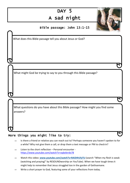## DAY 5 A sad night

#### Bible passage: John 13:1-15



What does this Bible passage tell you about Jesus or God?

 $\overline{1}$ 

What might God be trying to say to you through this Bible passage?

What questions do you have about this Bible passage? How might you find some answers?

- $\Rightarrow$  Is there a friend or relative you can reach out to? Perhaps someone you haven't spoken to for a while? Why not give them a call, or drop them a text message or PM to check in?
- $\Rightarrow$  Listen to the short reflection Personal encounter <https://www.youtube.com/watch?v=oqkelerdo78>
- ⇒ Watch this video: **[www.youtube.com/watch?v=RAi5Hh1fyTU](http://www.youtube.com/watch?v=RAi5Hh1fyTU)** (search "When my flesh is weak (watching and praying)" by RESOUNDworship on YouTube). When we have tough timesit might help to remember that Jesus struggled too in the garden of Gethsemane.
- $\Rightarrow$  Write a short prayer to God, featuring some of your reflections from today.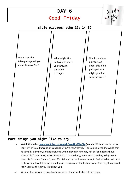

## Good Friday



## What does this Bible passage tell you about Jesus or God? What might God be trying to say to you through this Bible passage? What questions do you have about this Bible passage? How might you find some answers?

#### Bible passage: John 19: 14—30

#### More things you might like to try:

 $\overline{\phantom{a}}$ 

- ⇒ Watch this video: [www.youtube.com/watch?v=ojUrs28LeGM](http://www.youtube.com/watch?v=ojUrs28LeGM) (search "Write a love letter to yourself" by Soul Pancake on YouTube). You're *really* loved. "For God so loved the world that he gave his only Son, so that everyone who believes in him may not perish but may have eternal life." (John 3:16, NRSV) Jesus says, "No one has greater love than this, to lay down one's life for one's friends." (John 15:13) It can be hard, sometimes, to feel loveable. Why not try to write a love letter to yourself (as in the video) or think about what God might say about you? Name 3 things you like about you.
- $\Rightarrow$  Write a short prayer to God, featuring some of your reflections from today.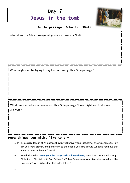## Jesus in the tomb



#### Bible passage: John 19: 38—42

What does this Bible passage tell you about Jesus or God?

What might God be trying to say to you through this Bible passage?

What questions do you have about this Bible passage? How might you find some answers?

- $\Rightarrow$  In this passage Joseph of Arimathea shows great bravery and Nicodemus shows generosity. How can you show bravery and generosity to the people you care about? What do you have that you can share with your friends?
- ⇒ Watch this video: [www.youtube.com/watch?v=loFBGdeXGtg](http://www.youtube.com/watch?v=loFBGdeXGtg) (search NOOMA Small Group Bible Study: 001 Rain with Rob Bell on YouTube). Sometimes we all feel abandoned and like God doesn't care. What does this video tell us?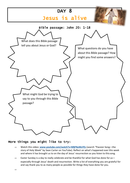

- Watch this video: **[www.youtube.com/watch?v=MljFNaWoYEs](http://www.youtube.com/watch?v=MljFNaWoYEs)** (search "Passion Song—the story of Holy Week" by Sean Carter on YouTube). Reflect on what's happened over this week and where it has brought us to on the day of Jesus' resurrection as you listen to thissong.
- $\Rightarrow$  Easter Sunday is a day to really celebrate and be thankful for what God has done for usespecially through Jesus' death and resurrection. Write a list of everything you are grateful for and say thank you to as many people as possible for things they have done for you.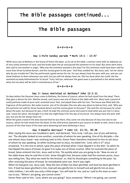## The Bible passages

#### ❖❖❖❖

#### Day 1-Palm Sunday parade  $*$  Mark 14:1 - 15:47

While Jesus was at Bethany in the house of Simon the leper, as he sat at the table, a woman came with an alabaster jar of very costly ointment of nard, and she broke open the jar and poured the ointment on his head. But some were there who said to one another in anger, 'Why was the ointment wasted in this way? For this ointment could have been sold for more than three hundred denarii, and the money given to the poor.' And they scolded her. But Jesus said, 'Let her alone; why do you trouble her? She has performed a good service for me. For you always have the poor with you, and you can show kindness to them whenever you wish; but you will not always have me. She has done what she could; she has anointed my body beforehand for its burial. Truly I tell you, wherever the good news is proclaimed in the whole world, what she has done will be told in remembrance of her.'

#### ❖❖❖❖

#### Day 2-Jesus Anointed at Bethany<sup>+</sup> John 12:1-11

Six days before the Passover Jesus came to Bethany, the home of Lazarus, whom he had raised from the dead. There they gave a dinner for him. Martha served, and Lazarus was one of those at the table with him. Mary took a pound of costly perfume made of pure nard, anointed Jesus' feet, and wiped them with her hair. The house was filled with the fragrance of the perfume. But Judas Iscariot, one of his disciples (the one who was about to betray him), said, 'Why was this perfume not sold for three hundred denarii and the money given to the poor?' (He said this not because he cared about the poor, but because he was a thief; he kept the common purse and used to steal what was put into it.) Jesus said, 'Leave her alone. She bought it so that she might keep it for the day of my burial. You always have the poor with you, but you do not always have me.'

When the great crowd of the Jews learned that he was there, they came not only because of Jesus but also to see Lazarus, whom he had raised from the dead. So the chief priests planned to put Lazarus to death as well, since it was on account of him that many of the Jews were deserting and were believing in Jesus.

#### Day 3-Double Betrayal  $\bullet$  John 13: 21-33, 36-38

After saying this Jesus was troubled in spirit, and declared, 'Very truly, I tell you, one of you will betray me.' The disciples looked at one another, uncertain of whom he was speaking. One of his disciples—the one whom Jesus loved—was reclining next to him; Simon Peter therefore motioned to him to ask Jesus of whom he was speaking. So while reclining next to Jesus, he asked him, 'Lord, who is it?' Jesus answered, 'It is the one to whom I give this piece of bread when I have dipped it in the dish.' So when he had dipped the piece of bread, he gave it to Judas son of Simon Iscariot. After he received the piece of bread, Satan entered into him. Jesus said to him, 'Do quickly what you are going to do.' Now no one at the table knew why he said this to him. Some thought that, because Judas had the common purse, Jesus was telling him, 'Buy what we need for the festival'; or, that he should give something to the poor. So, after receiving the piece of bread, he immediately went out. And it was night.

When he had gone out, Jesus said, 'Now the Son of Man has been glorified, and God has been glorified in him. If God has been glorified in him, God will also glorify him in himself and will glorify him at once. Little children, I am with you only a little longer. You will look for me; and as I said to the Jews so now I say to you, "Where I am going, you cannot come."

Simon Peter said to him, 'Lord, where are you going?' Jesus answered, 'Where I am going, you cannot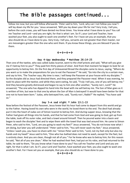follow me now; but you will follow afterwards.' Peter said to him, 'Lord, why can I not follow you now? I will lay down my life for you.' Jesus answered, 'Will you lay down your life for me? Very truly, I tell you, before the cock crows, you will have denied me three times. You know what I have done to you? You call me Teacher and Lord—and you are right, for that is what I am. So if I, your Lord and Teacher, have washed your feet, you also ought to wash one another's feet. For I have set you an example, that you also should do as I have done to you. Very truly, I tell you, servants are not greater than their master, nor are messengers greater than the one who sent them. If you know these things, you are blessed if you do them.

❖❖❖❖

#### Day 4-Spy Wednesday • Matthew 26:14-25

Then one of the twelve, who was called Judas Iscariot, went to the chief priests and said, "What will you give me if I betray him to you?" They paid him thirty pieces of silver. And from that moment he began to look for an opportunity to betray him. On the first day of Unleavened Bread the disciples came to Jesus, saying, "Where do you want us to make the preparations for you to eat the Passover?" He said, "Go into the city to a certain man, and say to him, 'The Teacher says, My time is near; I will keep the Passover at your house with my disciples.'" So the disciples did as Jesus had directed them, and they prepared the Passover meal. When it was evening, he took his place with the twelve; and while they were eating, he said, "Truly I tell you, one of you will betray me." And they became greatly distressed and began to say to him one after another, "Surely not I, Lord?" He answered, "The one who has dipped his hand into the bowl with me will betray me. The Son of Man goes as it is written of him, but woe to that one by whom the Son of Man is betrayed! It would have been better for that one not to have been born." Judas, who betrayed him, said, "Surely not I, Rabbi?" He replied, "You have said so."

#### Day 5-A sad night  $\bullet$  John 13:1-15

Now before the festival of the Passover, Jesus knew that his hour had come to depart from this world and go to the Father. Having loved his own who were in the world, he loved them to the end. The devil had already put it into the heart of Judas son of Simon Iscariot to betray him. And during supper Jesus, knowing that the Father had given all things into his hands, and that he had come from God and was going to God, got up from the table, took off his outer robe, and tied a towel around himself. Then he poured water into a basin and began to wash the disciples' feet and to wipe them with the towel that was tied around him. He came to Simon Peter, who said to him, "Lord, are you going to wash my feet?" Jesus answered, "You do not know now what I am doing, but later you will understand." Peter said to him, "You will never wash my feet." Jesus answered, "Unless I wash you, you have no share with me." Simon Peter said to him, "Lord, not my feet only but also my hands and my head!" Jesus said to him, "One who has bathed does not need to wash, except for the feet, but is entirely clean. And you are clean, though not all of you." For he knew who was to betray him; for this reason he said, "Not all of you are clean." After he had washed their feet, had put on his robe, and had returned to the table, he said to them, "Do you know what I have done to you? You call me Teacher and Lord-and you are right, for that is what I am. So if I, your Lord and Teacher, have washed your feet, you also ought to wash one another's feet. For I have set you an example, that you also should do as I have done to you.

❖❖❖❖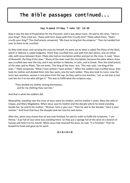#### Day 6-Good Friday  $\bullet$  John 19: 14-30

Now it was the day of Preparation for the Passover; and it was about noon. He said to the Jews, "Here is your King!" They cried out, "Away with him! Away with him! Crucify him!" Pilate asked them, "Shall I crucify your King?" The chief priests answered, "We have no king but the emperor." Then he handed him over to them to be crucified.

So they took Jesus; and carrying the cross by himself, he went out to what is called The Place of the Skull, which in Hebrew is called Golgotha. There they crucified him, and with him two others, one on either side, with Jesus between them. Pilate also had an inscription written and put on the cross. It read, "Jesus of Nazareth, the King of the Jews." Many of the Jews read this inscription, because the place where Jesus was crucified was near the city; and it was written in Hebrew, in Latin, and in Greek. Then the chief priests of the Jews said to Pilate, "Do not write, 'The King of the Jews,' but, 'This man said, I am King ofthe Jews.'" Pilate answered, "What I have written I have written." When the soldiers had crucified Jesus, they took his clothes and divided them into four parts, one for each soldier. They also took his tunic; now the tunic was seamless, woven in one piece from the top. So they said to one another, "Let us not tear it, but cast lots for it to see who will get it." This was to fulfill what the scripture says,

"They divided my clothes among themselves, and for my clothing they cast lots."

And that is what the soldiers did.

Meanwhile, standing near the cross of Jesus were his mother, and his mother's sister, Mary the wife of Clopas, and Mary Magdalene. When Jesus saw his mother and the disciple whom he loved standing beside her, he said to his mother, "Woman, here is your son." Then he said to the disciple, "Here is your mother." And from that hour the disciple took her into his own home.

After this, when Jesus knew that all was now finished, he said (in order to fulfill the scripture), "I am thirsty." A jar full of sour wine was standing there. So they put a sponge full of the wine on a branch of hyssop and held it to his mouth. When Jesus had received the wine, he said, "It is finished." Then he bowed his head and gave up his spirit.

❖❖❖❖